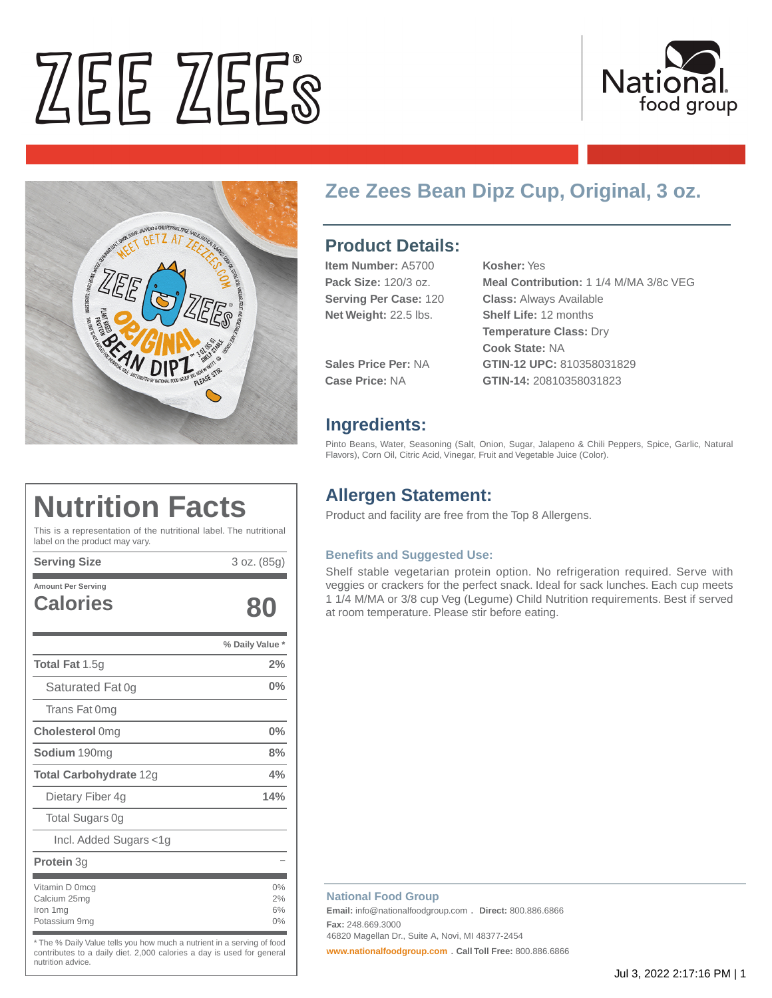# ZEE ZEES





# **Zee Zees Bean Dipz Cup, Original, 3 oz.**

# **Product Details:**

| <b>Item Number: A5700</b>    | Kosher: Yes                                                                            |
|------------------------------|----------------------------------------------------------------------------------------|
| Pack Size: 120/3 oz.         | Meal Contribution: 1 1/4 M/MA 3/8c VEG                                                 |
| <b>Serving Per Case: 120</b> | <b>Class: Always Available</b>                                                         |
| Net Weight: 22.5 lbs.        | <b>Shelf Life: 12 months</b><br><b>Temperature Class: Dry</b><br><b>Cook State: NA</b> |
| <b>Sales Price Per: NA</b>   | GTIN-12 UPC: 810358031829                                                              |
| Case Price: NA               | GTIN-14: 20810358031823                                                                |

### **Ingredients:**

Pinto Beans, Water, Seasoning (Salt, Onion, Sugar, Jalapeno & Chili Peppers, Spice, Garlic, Natural Flavors), Corn Oil, Citric Acid, Vinegar, Fruit and Vegetable Juice (Color).

# **Allergen Statement:**

Product and facility are free from the Top 8 Allergens.

#### **Benefits and Suggested Use:**

Shelf stable vegetarian protein option. No refrigeration required. Serve with veggies or crackers for the perfect snack. Ideal for sack lunches. Each cup meets 1 1/4 M/MA or 3/8 cup Veg (Legume) Child Nutrition requirements. Best if served at room temperature. Please stir before eating.

# **Nutrition Facts**

This is a representation of the nutritional label. The nutritional label on the product may vary.

**Serving Size** 3 oz. (85g)

| <b>Amount Per Serving</b><br><b>Calories</b>                | XU                   |
|-------------------------------------------------------------|----------------------|
|                                                             | % Daily Value *      |
| <b>Total Fat 1.5g</b>                                       | 2%                   |
| Saturated Fat 0g                                            | $0\%$                |
| Trans Fat 0mg                                               |                      |
| <b>Cholesterol Omg</b>                                      | 0%                   |
| Sodium 190mg                                                | 8%                   |
| <b>Total Carbohydrate 12g</b>                               | 4%                   |
| Dietary Fiber 4g                                            | 14%                  |
| <b>Total Sugars Og</b>                                      |                      |
| Incl. Added Sugars <1g                                      |                      |
| <b>Protein</b> 3g                                           |                      |
| Vitamin D 0mcq<br>Calcium 25mg<br>Iron 1mg<br>Potassium 9mg | 0%<br>2%<br>6%<br>0% |

\* The % Daily Value tells you how much a nutrient in a serving of food contributes to a daily diet. 2,000 calories a day is used for general nutrition advice.

#### **National Food Group**

**Email:** info@nationalfoodgroup.com . **Direct:** 800.886.6866 **Fax:** 248.669.3000

46820 Magellan Dr., Suite A, Novi, MI 48377-2454

**[www.nationalfoodgroup.com](https://3450792.app.netsuite.com/www.nationalfoodgroup.com)** . **Call Toll Free:** 800.886.6866